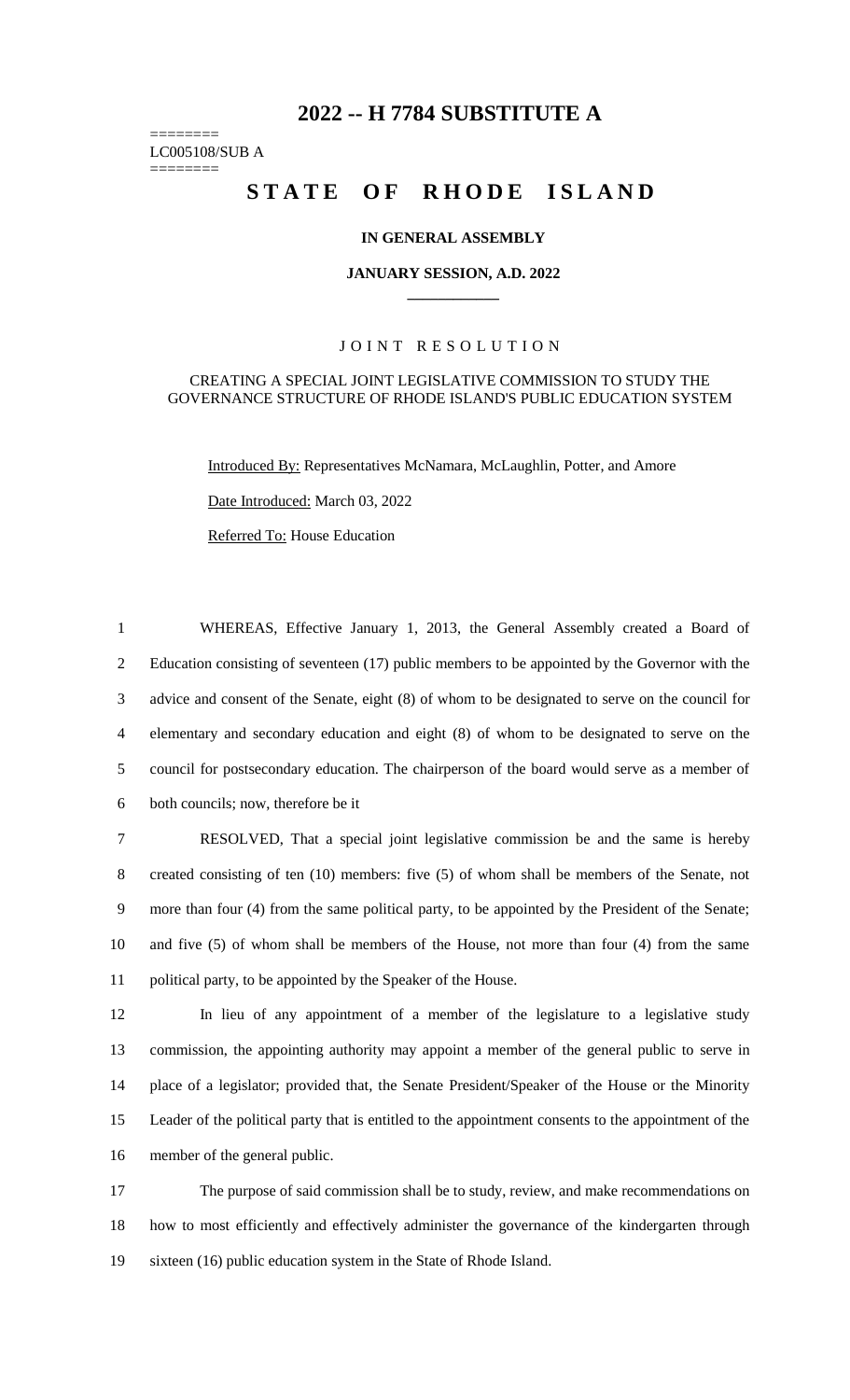# **-- H 7784 SUBSTITUTE A**

======== LC005108/SUB A

========

# STATE OF RHODE ISLAND

## **IN GENERAL ASSEMBLY**

#### **JANUARY SESSION, A.D. 2022 \_\_\_\_\_\_\_\_\_\_\_\_**

## JOINT RESOLUTION

#### CREATING A SPECIAL JOINT LEGISLATIVE COMMISSION TO STUDY THE GOVERNANCE STRUCTURE OF RHODE ISLAND'S PUBLIC EDUCATION SYSTEM

Introduced By: Representatives McNamara, McLaughlin, Potter, and Amore

Date Introduced: March 03, 2022

Referred To: House Education

 WHEREAS, Effective January 1, 2013, the General Assembly created a Board of Education consisting of seventeen (17) public members to be appointed by the Governor with the advice and consent of the Senate, eight (8) of whom to be designated to serve on the council for elementary and secondary education and eight (8) of whom to be designated to serve on the council for postsecondary education. The chairperson of the board would serve as a member of both councils; now, therefore be it

 RESOLVED, That a special joint legislative commission be and the same is hereby created consisting of ten (10) members: five (5) of whom shall be members of the Senate, not more than four (4) from the same political party, to be appointed by the President of the Senate; and five (5) of whom shall be members of the House, not more than four (4) from the same political party, to be appointed by the Speaker of the House.

 In lieu of any appointment of a member of the legislature to a legislative study commission, the appointing authority may appoint a member of the general public to serve in place of a legislator; provided that, the Senate President/Speaker of the House or the Minority Leader of the political party that is entitled to the appointment consents to the appointment of the member of the general public.

 The purpose of said commission shall be to study, review, and make recommendations on how to most efficiently and effectively administer the governance of the kindergarten through sixteen (16) public education system in the State of Rhode Island.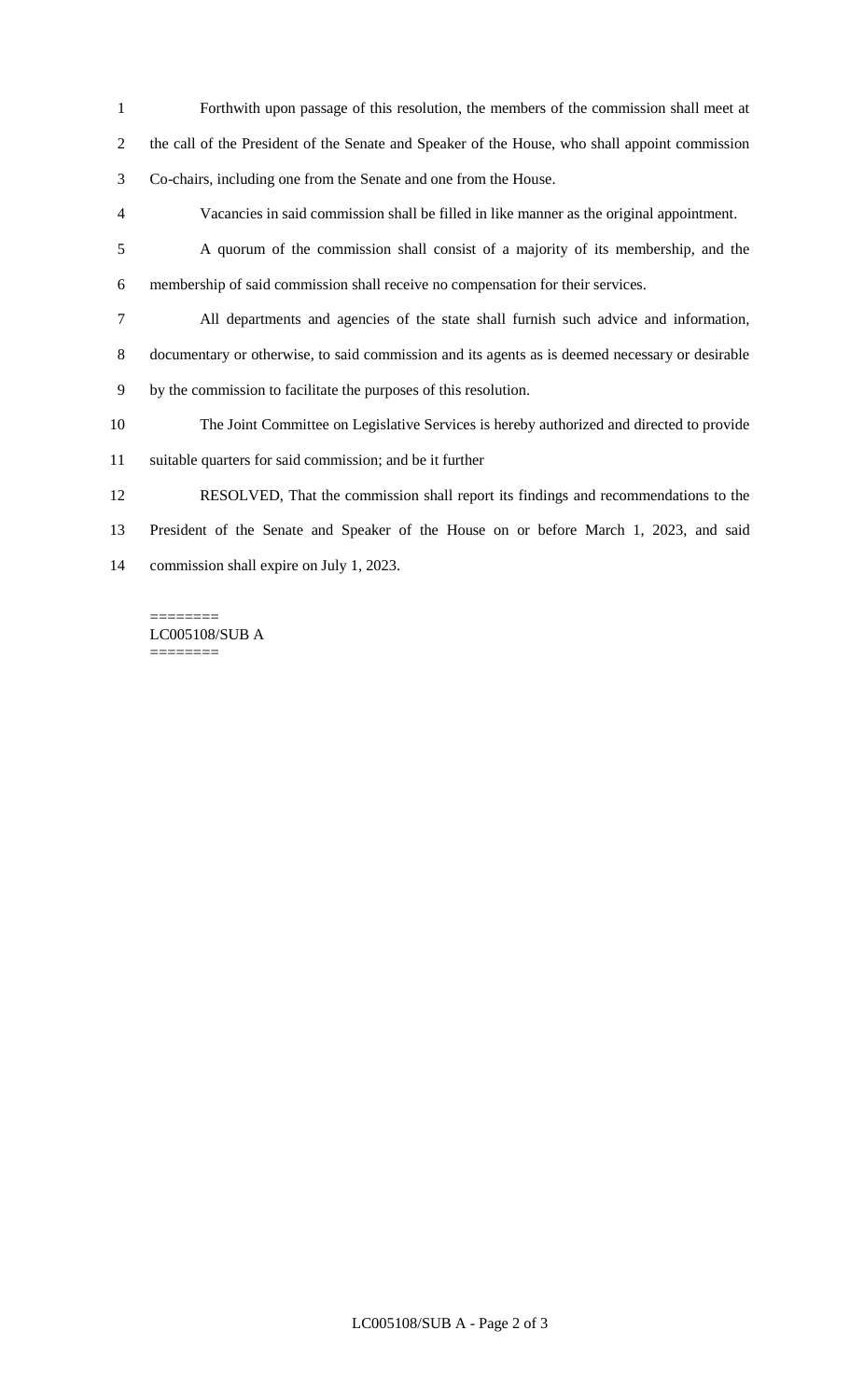- Forthwith upon passage of this resolution, the members of the commission shall meet at the call of the President of the Senate and Speaker of the House, who shall appoint commission Co-chairs, including one from the Senate and one from the House.
- Vacancies in said commission shall be filled in like manner as the original appointment.
- A quorum of the commission shall consist of a majority of its membership, and the membership of said commission shall receive no compensation for their services.
- All departments and agencies of the state shall furnish such advice and information, documentary or otherwise, to said commission and its agents as is deemed necessary or desirable
- by the commission to facilitate the purposes of this resolution.
- The Joint Committee on Legislative Services is hereby authorized and directed to provide
- suitable quarters for said commission; and be it further
- RESOLVED, That the commission shall report its findings and recommendations to the President of the Senate and Speaker of the House on or before March 1, 2023, and said commission shall expire on July 1, 2023.

======== LC005108/SUB A ========